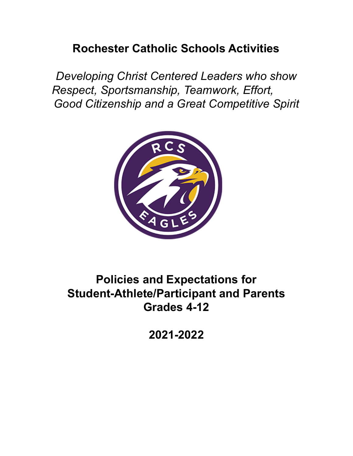# **Rochester Catholic Schools Activities**

*Developing Christ Centered Leaders who show Respect, Sportsmanship, Teamwork, Effort, Good Citizenship and a Great Competitive Spirit*



# **Policies and Expectations for Student-Athlete/Participant and Parents Grades 4-12**

**2021-2022**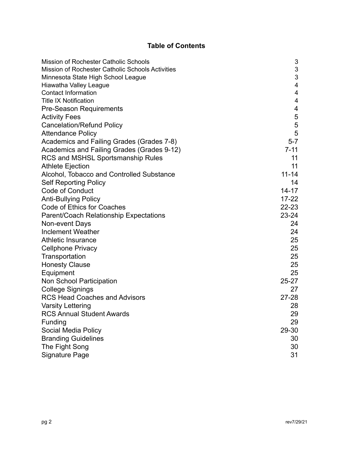# **Table of Contents**

| Mission of Rochester Catholic Schools            | 3                       |
|--------------------------------------------------|-------------------------|
| Mission of Rochester Catholic Schools Activities | $\sqrt{3}$              |
| Minnesota State High School League               | 3                       |
| Hiawatha Valley League                           | $\overline{\mathbf{4}}$ |
| <b>Contact Information</b>                       | $\overline{4}$          |
| <b>Title IX Notification</b>                     | $\overline{\mathbf{4}}$ |
| <b>Pre-Season Requirements</b>                   | 4                       |
| <b>Activity Fees</b>                             | 5                       |
| <b>Cancelation/Refund Policy</b>                 | 5                       |
| <b>Attendance Policy</b>                         | 5                       |
| Academics and Failing Grades (Grades 7-8)        | $5-7$                   |
| Academics and Failing Grades (Grades 9-12)       | $7 - 11$                |
| RCS and MSHSL Sportsmanship Rules                | 11                      |
| <b>Athlete Ejection</b>                          | 11                      |
| Alcohol, Tobacco and Controlled Substance        | $11 - 14$               |
| <b>Self Reporting Policy</b>                     | 14                      |
| <b>Code of Conduct</b>                           | $14 - 17$               |
| <b>Anti-Bullying Policy</b>                      | $17 - 22$               |
| Code of Ethics for Coaches                       | $22 - 23$               |
| Parent/Coach Relationship Expectations           | $23 - 24$               |
| Non-event Days                                   | 24                      |
| <b>Inclement Weather</b>                         | 24                      |
| Athletic Insurance                               | 25                      |
| <b>Cellphone Privacy</b>                         | 25                      |
| Transportation                                   | 25                      |
| <b>Honesty Clause</b>                            | 25                      |
| Equipment                                        | 25                      |
| <b>Non School Participation</b>                  | $25 - 27$               |
| College Signings                                 | 27                      |
| <b>RCS Head Coaches and Advisors</b>             | $27 - 28$               |
| <b>Varsity Lettering</b>                         | 28                      |
| <b>RCS Annual Student Awards</b>                 | 29                      |
| Funding                                          | 29                      |
| Social Media Policy                              | 29-30                   |
| <b>Branding Guidelines</b>                       | 30                      |
| The Fight Song                                   | 30                      |
| <b>Signature Page</b>                            | 31                      |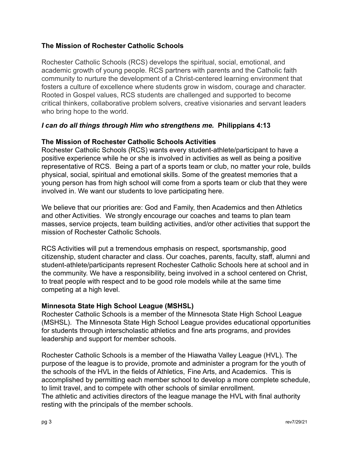## **The Mission of Rochester Catholic Schools**

Rochester Catholic Schools (RCS) develops the spiritual, social, emotional, and academic growth of young people. RCS partners with parents and the Catholic faith community to nurture the development of a Christ-centered learning environment that fosters a culture of excellence where students grow in wisdom, courage and character. Rooted in Gospel values, RCS students are challenged and supported to become critical thinkers, collaborative problem solvers, creative visionaries and servant leaders who bring hope to the world.

## *I can do all things through Him who strengthens me.* **Philippians 4:13**

#### **The Mission of Rochester Catholic Schools Activities**

Rochester Catholic Schools (RCS) wants every student-athlete/participant to have a positive experience while he or she is involved in activities as well as being a positive representative of RCS. Being a part of a sports team or club, no matter your role, builds physical, social, spiritual and emotional skills. Some of the greatest memories that a young person has from high school will come from a sports team or club that they were involved in. We want our students to love participating here.

We believe that our priorities are: God and Family, then Academics and then Athletics and other Activities. We strongly encourage our coaches and teams to plan team masses, service projects, team building activities, and/or other activities that support the mission of Rochester Catholic Schools.

RCS Activities will put a tremendous emphasis on respect, sportsmanship, good citizenship, student character and class. Our coaches, parents, faculty, staff, alumni and student-athlete/participants represent Rochester Catholic Schools here at school and in the community. We have a responsibility, being involved in a school centered on Christ, to treat people with respect and to be good role models while at the same time competing at a high level.

#### **Minnesota State High School League (MSHSL)**

Rochester Catholic Schools is a member of the Minnesota State High School League (MSHSL). The Minnesota State High School League provides educational opportunities for students through interscholastic athletics and fine arts programs, and provides leadership and support for member schools.

Rochester Catholic Schools is a member of the Hiawatha Valley League (HVL). The purpose of the league is to provide, promote and administer a program for the youth of the schools of the HVL in the fields of Athletics, Fine Arts, and Academics. This is accomplished by permitting each member school to develop a more complete schedule, to limit travel, and to compete with other schools of similar enrollment. The athletic and activities directors of the league manage the HVL with final authority resting with the principals of the member schools.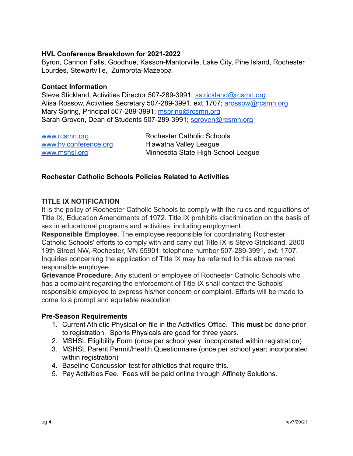#### **HVL Conference Breakdown for 2021-2022**

Byron, Cannon Falls, Goodhue, Kasson-Mantorville, Lake City, Pine Island, Rochester Lourdes, Stewartville, Zumbrota-Mazeppa

#### **Contact Information**

Steve Stickland, Activities Director 507-289-3991; [sstrickland@rcsmn.org](mailto:sstrickland@rcsmn.org) Alisa Rossow, Activities Secretary 507-289-3991, ext 1707; [arossow@rcsmn.org](mailto:arossow@rcsmn.org) Mary Spring, Principal 507-289-3991; [mspring@rcsmn.org](mailto:mspring@rcsmn.org) Sarah Groven, Dean of Students 507-289-3991; [sgroven@rcsmn.org](mailto:sgroven@rcsmn.org)

| www.rcsmn.org         | <b>Rochester Catholic Schools</b>  |
|-----------------------|------------------------------------|
| www.hylconference.org | Hiawatha Valley League             |
| www.mshsl.org         | Minnesota State High School League |

## **Rochester Catholic Schools Policies Related to Activities**

#### **TITLE IX NOTIFICATION**

It is the policy of Rochester Catholic Schools to comply with the rules and regulations of Title IX, Education Amendments of 1972. Title IX prohibits discrimination on the basis of sex in educational programs and activities, including employment.

**Responsible Employee.** The employee responsible for coordinating Rochester Catholic Schools' efforts to comply with and carry out Title IX is Steve Strickland, 2800 19th Street NW, Rochester, MN 55901; telephone number 507-289-3991, ext. 1707. Inquiries concerning the application of Title IX may be referred to this above named responsible employee.

**Grievance Procedure.** Any student or employee of Rochester Catholic Schools who has a complaint regarding the enforcement of Title IX shall contact the Schools' responsible employee to express his/her concern or complaint. Efforts will be made to come to a prompt and equitable resolution

#### **Pre-Season Requirements**

- 1. Current Athletic Physical on file in the Activities Office. This **must** be done prior to registration. Sports Physicals are good for three years.
- 2. MSHSL Eligibility Form (once per school year; incorporated within registration)
- 3. MSHSL Parent Permit/Health Questionnaire (once per school year; incorporated within registration)
- 4. Baseline Concussion test for athletics that require this.
- 5. Pay Activities Fee. Fees will be paid online through Affinety Solutions.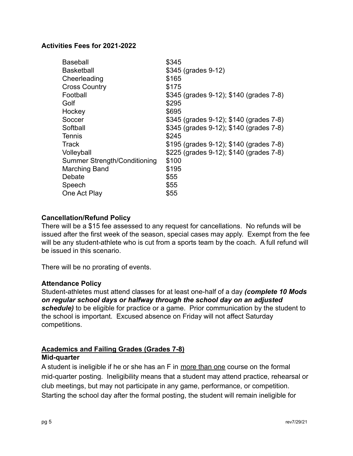#### **Activities Fees for 2021-2022**

| <b>Baseball</b>              | \$345                                   |
|------------------------------|-----------------------------------------|
| <b>Basketball</b>            | \$345 (grades 9-12)                     |
| Cheerleading                 | \$165                                   |
| <b>Cross Country</b>         | \$175                                   |
| Football                     | \$345 (grades 9-12); \$140 (grades 7-8) |
| Golf                         | \$295                                   |
| Hockey                       | \$695                                   |
| Soccer                       | \$345 (grades 9-12); \$140 (grades 7-8) |
| Softball                     | \$345 (grades 9-12); \$140 (grades 7-8) |
| Tennis                       | \$245                                   |
| Track                        | \$195 (grades 9-12); \$140 (grades 7-8) |
| Volleyball                   | \$225 (grades 9-12); \$140 (grades 7-8) |
| Summer Strength/Conditioning | \$100                                   |
| <b>Marching Band</b>         | \$195                                   |
| Debate                       | \$55                                    |
| Speech                       | \$55                                    |
| One Act Play                 | \$55                                    |

## **Cancellation/Refund Policy**

There will be a \$15 fee assessed to any request for cancellations. No refunds will be issued after the first week of the season, special cases may apply. Exempt from the fee will be any student-athlete who is cut from a sports team by the coach. A full refund will be issued in this scenario.

There will be no prorating of events.

#### **Attendance Policy**

Student-athletes must attend classes for at least one-half of a day *(complete 10 Mods on regular school days or halfway through the school day on an adjusted schedule)* to be eligible for practice or a game. Prior communication by the student to the school is important. Excused absence on Friday will not affect Saturday competitions.

#### **Academics and Failing Grades (Grades 7-8) Mid-quarter**

A student is ineligible if he or she has an F in more than one course on the formal mid-quarter posting. Ineligibility means that a student may attend practice, rehearsal or club meetings, but may not participate in any game, performance, or competition. Starting the school day after the formal posting, the student will remain ineligible for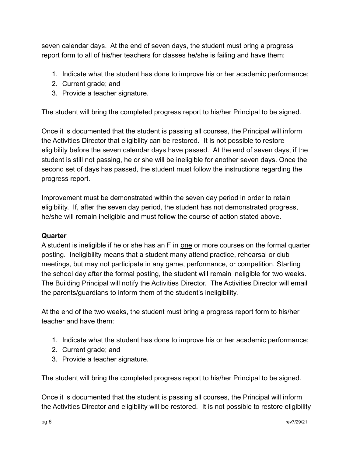seven calendar days. At the end of seven days, the student must bring a progress report form to all of his/her teachers for classes he/she is failing and have them:

- 1. Indicate what the student has done to improve his or her academic performance;
- 2. Current grade; and
- 3. Provide a teacher signature.

The student will bring the completed progress report to his/her Principal to be signed.

Once it is documented that the student is passing all courses, the Principal will inform the Activities Director that eligibility can be restored. It is not possible to restore eligibility before the seven calendar days have passed. At the end of seven days, if the student is still not passing, he or she will be ineligible for another seven days. Once the second set of days has passed, the student must follow the instructions regarding the progress report.

Improvement must be demonstrated within the seven day period in order to retain eligibility. If, after the seven day period, the student has not demonstrated progress, he/she will remain ineligible and must follow the course of action stated above.

## **Quarter**

A student is ineligible if he or she has an F in one or more courses on the formal quarter posting. Ineligibility means that a student many attend practice, rehearsal or club meetings, but may not participate in any game, performance, or competition. Starting the school day after the formal posting, the student will remain ineligible for two weeks. The Building Principal will notify the Activities Director. The Activities Director will email the parents/guardians to inform them of the student's ineligibility.

At the end of the two weeks, the student must bring a progress report form to his/her teacher and have them:

- 1. Indicate what the student has done to improve his or her academic performance;
- 2. Current grade; and
- 3. Provide a teacher signature.

The student will bring the completed progress report to his/her Principal to be signed.

Once it is documented that the student is passing all courses, the Principal will inform the Activities Director and eligibility will be restored. It is not possible to restore eligibility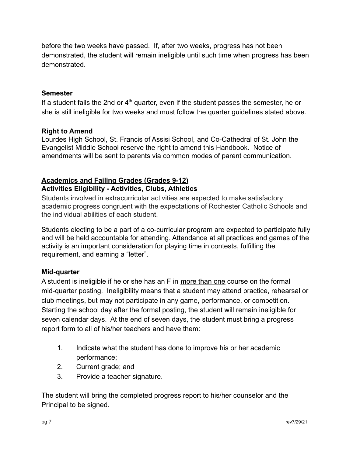before the two weeks have passed. If, after two weeks, progress has not been demonstrated, the student will remain ineligible until such time when progress has been demonstrated.

## **Semester**

If a student fails the 2nd or  $4<sup>th</sup>$  quarter, even if the student passes the semester, he or she is still ineligible for two weeks and must follow the quarter guidelines stated above.

#### **Right to Amend**

Lourdes High School, St. Francis of Assisi School, and Co-Cathedral of St. John the Evangelist Middle School reserve the right to amend this Handbook. Notice of amendments will be sent to parents via common modes of parent communication.

#### **Academics and Failing Grades (Grades 9-12) Activities Eligibility - Activities, Clubs, Athletics**

Students involved in extracurricular activities are expected to make satisfactory academic progress congruent with the expectations of Rochester Catholic Schools and the individual abilities of each student.

Students electing to be a part of a co-curricular program are expected to participate fully and will be held accountable for attending. Attendance at all practices and games of the activity is an important consideration for playing time in contests, fulfilling the requirement, and earning a "letter".

## **Mid-quarter**

A student is ineligible if he or she has an F in more than one course on the formal mid-quarter posting. Ineligibility means that a student may attend practice, rehearsal or club meetings, but may not participate in any game, performance, or competition. Starting the school day after the formal posting, the student will remain ineligible for seven calendar days. At the end of seven days, the student must bring a progress report form to all of his/her teachers and have them:

- 1. Indicate what the student has done to improve his or her academic performance;
- 2. Current grade; and
- 3. Provide a teacher signature.

The student will bring the completed progress report to his/her counselor and the Principal to be signed.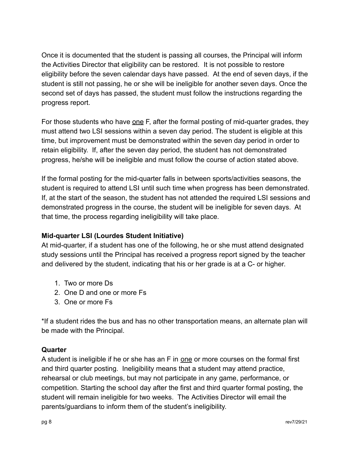Once it is documented that the student is passing all courses, the Principal will inform the Activities Director that eligibility can be restored. It is not possible to restore eligibility before the seven calendar days have passed. At the end of seven days, if the student is still not passing, he or she will be ineligible for another seven days. Once the second set of days has passed, the student must follow the instructions regarding the progress report.

For those students who have one F, after the formal posting of mid-quarter grades, they must attend two LSI sessions within a seven day period. The student is eligible at this time, but improvement must be demonstrated within the seven day period in order to retain eligibility. If, after the seven day period, the student has not demonstrated progress, he/she will be ineligible and must follow the course of action stated above.

If the formal posting for the mid-quarter falls in between sports/activities seasons, the student is required to attend LSI until such time when progress has been demonstrated. If, at the start of the season, the student has not attended the required LSI sessions and demonstrated progress in the course, the student will be ineligible for seven days. At that time, the process regarding ineligibility will take place.

# **Mid-quarter LSI (Lourdes Student Initiative)**

At mid-quarter, if a student has one of the following, he or she must attend designated study sessions until the Principal has received a progress report signed by the teacher and delivered by the student, indicating that his or her grade is at a C- or higher.

- 1. Two or more Ds
- 2. One D and one or more Fs
- 3. One or more Fs

\*If a student rides the bus and has no other transportation means, an alternate plan will be made with the Principal.

# **Quarter**

A student is ineligible if he or she has an F in one or more courses on the formal first and third quarter posting. Ineligibility means that a student may attend practice, rehearsal or club meetings, but may not participate in any game, performance, or competition. Starting the school day after the first and third quarter formal posting, the student will remain ineligible for two weeks. The Activities Director will email the parents/guardians to inform them of the student's ineligibility.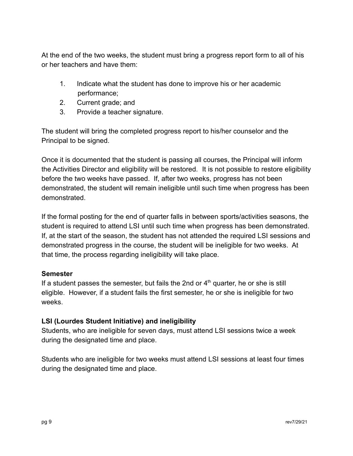At the end of the two weeks, the student must bring a progress report form to all of his or her teachers and have them:

- 1. Indicate what the student has done to improve his or her academic performance;
- 2. Current grade; and
- 3. Provide a teacher signature.

The student will bring the completed progress report to his/her counselor and the Principal to be signed.

Once it is documented that the student is passing all courses, the Principal will inform the Activities Director and eligibility will be restored. It is not possible to restore eligibility before the two weeks have passed. If, after two weeks, progress has not been demonstrated, the student will remain ineligible until such time when progress has been demonstrated.

If the formal posting for the end of quarter falls in between sports/activities seasons, the student is required to attend LSI until such time when progress has been demonstrated. If, at the start of the season, the student has not attended the required LSI sessions and demonstrated progress in the course, the student will be ineligible for two weeks. At that time, the process regarding ineligibility will take place.

## **Semester**

If a student passes the semester, but fails the 2nd or  $4<sup>th</sup>$  quarter, he or she is still eligible. However, if a student fails the first semester, he or she is ineligible for two weeks.

## **LSI (Lourdes Student Initiative) and ineligibility**

Students, who are ineligible for seven days, must attend LSI sessions twice a week during the designated time and place.

Students who are ineligible for two weeks must attend LSI sessions at least four times during the designated time and place.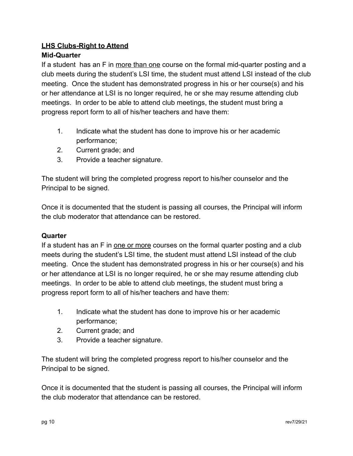# **LHS Clubs-Right to Attend**

# **Mid-Quarter**

If a student has an F in more than one course on the formal mid-quarter posting and a club meets during the student's LSI time, the student must attend LSI instead of the club meeting. Once the student has demonstrated progress in his or her course(s) and his or her attendance at LSI is no longer required, he or she may resume attending club meetings. In order to be able to attend club meetings, the student must bring a progress report form to all of his/her teachers and have them:

- 1. Indicate what the student has done to improve his or her academic performance;
- 2. Current grade; and
- 3. Provide a teacher signature.

The student will bring the completed progress report to his/her counselor and the Principal to be signed.

Once it is documented that the student is passing all courses, the Principal will inform the club moderator that attendance can be restored.

## **Quarter**

If a student has an F in one or more courses on the formal quarter posting and a club meets during the student's LSI time, the student must attend LSI instead of the club meeting. Once the student has demonstrated progress in his or her course(s) and his or her attendance at LSI is no longer required, he or she may resume attending club meetings. In order to be able to attend club meetings, the student must bring a progress report form to all of his/her teachers and have them:

- 1. Indicate what the student has done to improve his or her academic performance;
- 2. Current grade; and
- 3. Provide a teacher signature.

The student will bring the completed progress report to his/her counselor and the Principal to be signed.

Once it is documented that the student is passing all courses, the Principal will inform the club moderator that attendance can be restored.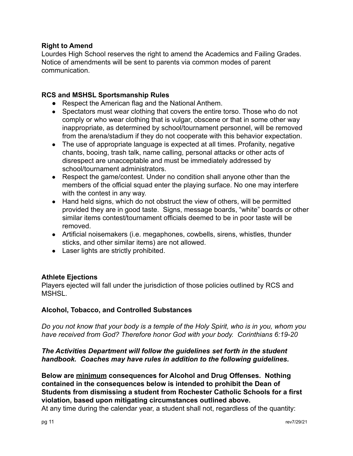#### **Right to Amend**

Lourdes High School reserves the right to amend the Academics and Failing Grades. Notice of amendments will be sent to parents via common modes of parent communication.

#### **RCS and MSHSL Sportsmanship Rules**

- Respect the American flag and the National Anthem.
- Spectators must wear clothing that covers the entire torso. Those who do not comply or who wear clothing that is vulgar, obscene or that in some other way inappropriate, as determined by school/tournament personnel, will be removed from the arena/stadium if they do not cooperate with this behavior expectation.
- The use of appropriate language is expected at all times. Profanity, negative chants, booing, trash talk, name calling, personal attacks or other acts of disrespect are unacceptable and must be immediately addressed by school/tournament administrators.
- Respect the game/contest. Under no condition shall anyone other than the members of the official squad enter the playing surface. No one may interfere with the contest in any way.
- Hand held signs, which do not obstruct the view of others, will be permitted provided they are in good taste. Signs, message boards, "white" boards or other similar items contest/tournament officials deemed to be in poor taste will be removed.
- Artificial noisemakers (i.e. megaphones, cowbells, sirens, whistles, thunder sticks, and other similar items) are not allowed.
- Laser lights are strictly prohibited.

#### **Athlete Ejections**

Players ejected will fall under the jurisdiction of those policies outlined by RCS and **MSHSL.** 

## **Alcohol, Tobacco, and Controlled Substances**

*Do you not know that your body is a temple of the Holy Spirit, who is in you, whom you have received from God? Therefore honor God with your body. Corinthians 6:19-20*

## *The Activities Department will follow the guidelines set forth in the student handbook. Coaches may have rules in addition to the following guidelines.*

**Below are minimum consequences for Alcohol and Drug Offenses. Nothing contained in the consequences below is intended to prohibit the Dean of Students from dismissing a student from Rochester Catholic Schools for a first violation, based upon mitigating circumstances outlined above.**

At any time during the calendar year, a student shall not, regardless of the quantity: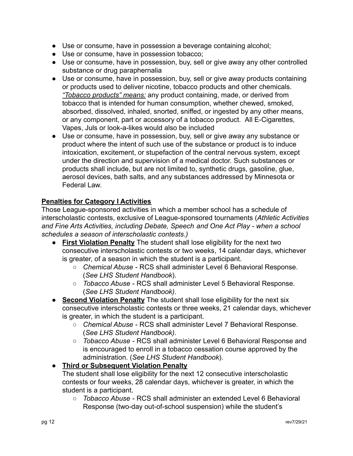- Use or consume, have in possession a beverage containing alcohol;
- Use or consume, have in possession tobacco;
- Use or consume, have in possession, buy, sell or give away any other controlled substance or drug paraphernalia
- Use or consume, have in possession, buy, sell or give away products containing or products used to deliver nicotine, tobacco products and other chemicals. *"Tobacco products" means:* any product containing, made, or derived from tobacco that is intended for human consumption, whether chewed, smoked, absorbed, dissolved, inhaled, snorted, sniffed, or ingested by any other means, or any component, part or accessory of a tobacco product. All E-Cigarettes, Vapes, Juls or look-a-likes would also be included
- Use or consume, have in possession, buy, sell or give away any substance or product where the intent of such use of the substance or product is to induce intoxication, excitement, or stupefaction of the central nervous system, except under the direction and supervision of a medical doctor. Such substances or products shall include, but are not limited to, synthetic drugs, gasoline, glue, aerosol devices, bath salts, and any substances addressed by Minnesota or Federal Law

# **Penalties for Category I Activities**

Those League-sponsored activities in which a member school has a schedule of interscholastic contests, exclusive of League-sponsored tournaments (*Athletic Activities and Fine Arts Activities, including Debate, Speech and One Act Play - when a school schedules a season of interscholastic contests.)*

- **First Violation Penalty** The student shall lose eligibility for the next two consecutive interscholastic contests or two weeks, 14 calendar days, whichever is greater, of a season in which the student is a participant.
	- *Chemical Abuse* RCS shall administer Level 6 Behavioral Response. (*See LHS Student Handbook*).
	- *Tobacco Abuse* RCS shall administer Level 5 Behavioral Response. (*See LHS Student Handbook)*.
- **Second Violation Penalty** The student shall lose eligibility for the next six consecutive interscholastic contests or three weeks, 21 calendar days, whichever is greater, in which the student is a participant.
	- *Chemical Abuse* RCS shall administer Level 7 Behavioral Response. (*See LHS Student Handbook)*.
	- *Tobacco Abuse* RCS shall administer Level 6 Behavioral Response and is encouraged to enroll in a tobacco cessation course approved by the administration. (*See LHS Student Handbook*).

# ● **Third or Subsequent Violation Penalty**

The student shall lose eligibility for the next 12 consecutive interscholastic contests or four weeks, 28 calendar days, whichever is greater, in which the student is a participant.

○ *Tobacco Abuse* - RCS shall administer an extended Level 6 Behavioral Response (two-day out-of-school suspension) while the student's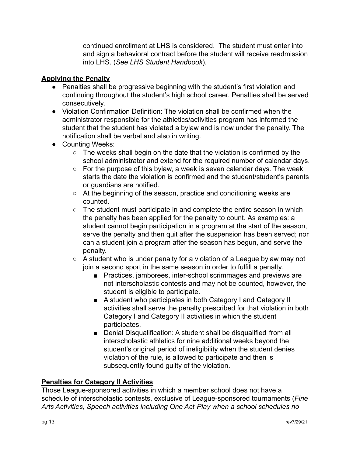continued enrollment at LHS is considered. The student must enter into and sign a behavioral contract before the student will receive readmission into LHS. (*See LHS Student Handbook*).

## **Applying the Penalty**

- Penalties shall be progressive beginning with the student's first violation and continuing throughout the student's high school career. Penalties shall be served consecutively.
- Violation Confirmation Definition: The violation shall be confirmed when the administrator responsible for the athletics/activities program has informed the student that the student has violated a bylaw and is now under the penalty. The notification shall be verbal and also in writing.
- Counting Weeks:
	- The weeks shall begin on the date that the violation is confirmed by the school administrator and extend for the required number of calendar days.
	- For the purpose of this bylaw, a week is seven calendar days. The week starts the date the violation is confirmed and the student/student's parents or guardians are notified.
	- At the beginning of the season, practice and conditioning weeks are counted.
	- The student must participate in and complete the entire season in which the penalty has been applied for the penalty to count. As examples: a student cannot begin participation in a program at the start of the season, serve the penalty and then quit after the suspension has been served; nor can a student join a program after the season has begun, and serve the penalty.
	- A student who is under penalty for a violation of a League bylaw may not join a second sport in the same season in order to fulfill a penalty.
		- Practices, jamborees, inter-school scrimmages and previews are not interscholastic contests and may not be counted, however, the student is eligible to participate.
		- A student who participates in both Category I and Category II activities shall serve the penalty prescribed for that violation in both Category I and Category II activities in which the student participates.
		- Denial Disqualification: A student shall be disqualified from all interscholastic athletics for nine additional weeks beyond the student's original period of ineligibility when the student denies violation of the rule, is allowed to participate and then is subsequently found guilty of the violation.

## **Penalties for Category II Activities**

Those League-sponsored activities in which a member school does not have a schedule of interscholastic contests, exclusive of League-sponsored tournaments (*Fine Arts Activities, Speech activities including One Act Play when a school schedules no*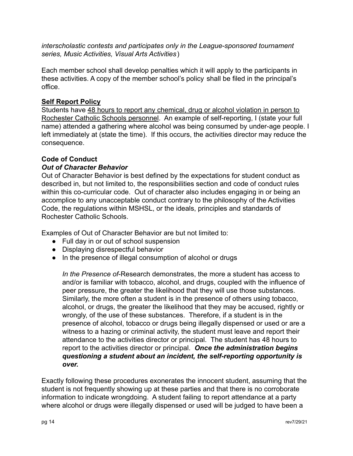*interscholastic contests and participates only in the League-sponsored tournament series, Music Activities, Visual Arts Activities*)

Each member school shall develop penalties which it will apply to the participants in these activities. A copy of the member school's policy shall be filed in the principal's office.

## **Self Report Policy**

Students have 48 hours to report any chemical, drug or alcohol violation in person to Rochester Catholic Schools personnel. An example of self-reporting, I (state your full name) attended a gathering where alcohol was being consumed by under-age people. I left immediately at (state the time). If this occurs, the activities director may reduce the consequence.

# **Code of Conduct**

## *Out of Character Behavior*

Out of Character Behavior is best defined by the expectations for student conduct as described in, but not limited to, the responsibilities section and code of conduct rules within this co-curricular code. Out of character also includes engaging in or being an accomplice to any unacceptable conduct contrary to the philosophy of the Activities Code, the regulations within MSHSL, or the ideals, principles and standards of Rochester Catholic Schools.

Examples of Out of Character Behavior are but not limited to:

- Full day in or out of school suspension
- Displaying disrespectful behavior
- In the presence of illegal consumption of alcohol or drugs

*In the Presence of*-Research demonstrates, the more a student has access to and/or is familiar with tobacco, alcohol, and drugs, coupled with the influence of peer pressure, the greater the likelihood that they will use those substances. Similarly, the more often a student is in the presence of others using tobacco, alcohol, or drugs, the greater the likelihood that they may be accused, rightly or wrongly, of the use of these substances. Therefore, if a student is in the presence of alcohol, tobacco or drugs being illegally dispensed or used or are a witness to a hazing or criminal activity, the student must leave and report their attendance to the activities director or principal. The student has 48 hours to report to the activities director or principal. *Once the administration begins questioning a student about an incident, the self-reporting opportunity is over.*

Exactly following these procedures exonerates the innocent student, assuming that the student is not frequently showing up at these parties and that there is no corroborate information to indicate wrongdoing. A student failing to report attendance at a party where alcohol or drugs were illegally dispensed or used will be judged to have been a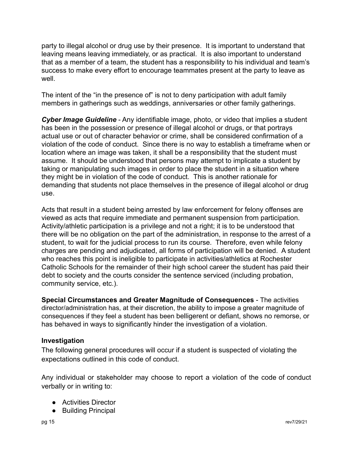party to illegal alcohol or drug use by their presence. It is important to understand that leaving means leaving immediately, or as practical. It is also important to understand that as a member of a team, the student has a responsibility to his individual and team's success to make every effort to encourage teammates present at the party to leave as well.

The intent of the "in the presence of" is not to deny participation with adult family members in gatherings such as weddings, anniversaries or other family gatherings.

*Cyber Image Guideline* - Any identifiable image, photo, or video that implies a student has been in the possession or presence of illegal alcohol or drugs, or that portrays actual use or out of character behavior or crime, shall be considered confirmation of a violation of the code of conduct. Since there is no way to establish a timeframe when or location where an image was taken, it shall be a responsibility that the student must assume. It should be understood that persons may attempt to implicate a student by taking or manipulating such images in order to place the student in a situation where they might be in violation of the code of conduct. This is another rationale for demanding that students not place themselves in the presence of illegal alcohol or drug use.

Acts that result in a student being arrested by law enforcement for felony offenses are viewed as acts that require immediate and permanent suspension from participation. Activity/athletic participation is a privilege and not a right; it is to be understood that there will be no obligation on the part of the administration, in response to the arrest of a student, to wait for the judicial process to run its course. Therefore, even while felony charges are pending and adjudicated, all forms of participation will be denied. A student who reaches this point is ineligible to participate in activities/athletics at Rochester Catholic Schools for the remainder of their high school career the student has paid their debt to society and the courts consider the sentence serviced (including probation, community service, etc.).

**Special Circumstances and Greater Magnitude of Consequences** - The activities director/administration has, at their discretion, the ability to impose a greater magnitude of consequences if they feel a student has been belligerent or defiant, shows no remorse, or has behaved in ways to significantly hinder the investigation of a violation.

## **Investigation**

The following general procedures will occur if a student is suspected of violating the expectations outlined in this code of conduct.

Any individual or stakeholder may choose to report a violation of the code of conduct verbally or in writing to:

- Activities Director
- Building Principal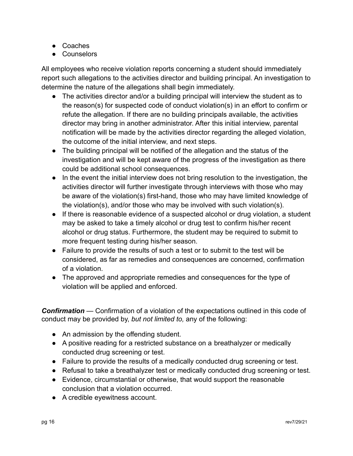- Coaches
- Counselors

All employees who receive violation reports concerning a student should immediately report such allegations to the activities director and building principal. An investigation to determine the nature of the allegations shall begin immediately.

- The activities director and/or a building principal will interview the student as to the reason(s) for suspected code of conduct violation(s) in an effort to confirm or refute the allegation. If there are no building principals available, the activities director may bring in another administrator. After this initial interview, parental notification will be made by the activities director regarding the alleged violation, the outcome of the initial interview, and next steps.
- The building principal will be notified of the allegation and the status of the investigation and will be kept aware of the progress of the investigation as there could be additional school consequences.
- In the event the initial interview does not bring resolution to the investigation, the activities director will further investigate through interviews with those who may be aware of the violation(s) first-hand, those who may have limited knowledge of the violation(s), and/or those who may be involved with such violation(s).
- If there is reasonable evidence of a suspected alcohol or drug violation, a student may be asked to take a timely alcohol or drug test to confirm his/her recent alcohol or drug status. Furthermore, the student may be required to submit to more frequent testing during his/her season.
- Failure to provide the results of such a test or to submit to the test will be considered, as far as remedies and consequences are concerned, confirmation of a violation.
- The approved and appropriate remedies and consequences for the type of violation will be applied and enforced.

*Confirmation* — Confirmation of a violation of the expectations outlined in this code of conduct may be provided by, *but not limited to,* any of the following:

- An admission by the offending student.
- A positive reading for a restricted substance on a breathalyzer or medically conducted drug screening or test.
- Failure to provide the results of a medically conducted drug screening or test.
- Refusal to take a breathalyzer test or medically conducted drug screening or test.
- Evidence, circumstantial or otherwise, that would support the reasonable conclusion that a violation occurred.
- A credible eyewitness account.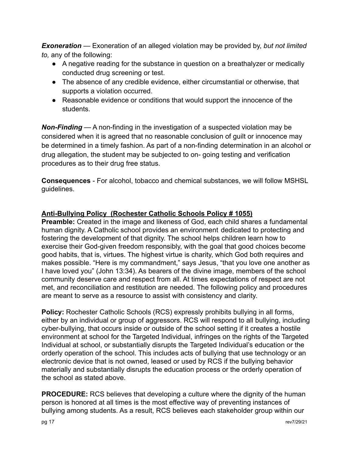*Exoneration —* Exoneration of an alleged violation may be provided by, *but not limited to,* any of the following:

- A negative reading for the substance in question on a breathalyzer or medically conducted drug screening or test.
- The absence of any credible evidence, either circumstantial or otherwise, that supports a violation occurred.
- Reasonable evidence or conditions that would support the innocence of the students.

*Non-Finding* — A non-finding in the investigation of a suspected violation may be considered when it is agreed that no reasonable conclusion of guilt or innocence may be determined in a timely fashion. As part of a non-finding determination in an alcohol or drug allegation, the student may be subjected to on- going testing and verification procedures as to their drug free status.

**Consequences** - For alcohol, tobacco and chemical substances, we will follow MSHSL guidelines.

# **Anti-Bullying Policy (Rochester Catholic Schools Policy # 1055)**

**Preamble:** Created in the image and likeness of God, each child shares a fundamental human dignity. A Catholic school provides an environment dedicated to protecting and fostering the development of that dignity. The school helps children learn how to exercise their God-given freedom responsibly, with the goal that good choices become good habits, that is, virtues. The highest virtue is charity, which God both requires and makes possible. "Here is my commandment," says Jesus, "that you love one another as I have loved you" (John 13:34). As bearers of the divine image, members of the school community deserve care and respect from all. At times expectations of respect are not met, and reconciliation and restitution are needed. The following policy and procedures are meant to serve as a resource to assist with consistency and clarity.

**Policy:** Rochester Catholic Schools (RCS) expressly prohibits bullying in all forms, either by an individual or group of aggressors. RCS will respond to all bullying, including cyber-bullying, that occurs inside or outside of the school setting if it creates a hostile environment at school for the Targeted Individual, infringes on the rights of the Targeted Individual at school, or substantially disrupts the Targeted Individual's education or the orderly operation of the school. This includes acts of bullying that use technology or an electronic device that is not owned, leased or used by RCS if the bullying behavior materially and substantially disrupts the education process or the orderly operation of the school as stated above.

**PROCEDURE:** RCS believes that developing a culture where the dignity of the human person is honored at all times is the most effective way of preventing instances of bullying among students. As a result, RCS believes each stakeholder group within our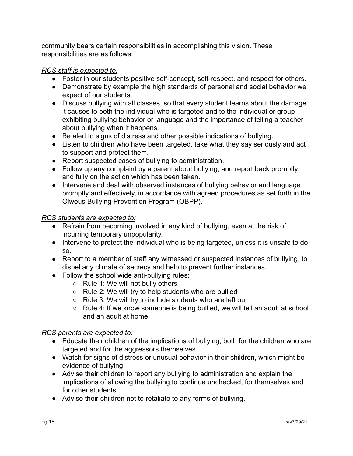community bears certain responsibilities in accomplishing this vision. These responsibilities are as follows:

## *RCS staff is expected to:*

- Foster in our students positive self-concept, self-respect, and respect for others.
- Demonstrate by example the high standards of personal and social behavior we expect of our students.
- Discuss bullying with all classes, so that every student learns about the damage it causes to both the individual who is targeted and to the individual or group exhibiting bullying behavior or language and the importance of telling a teacher about bullying when it happens.
- Be alert to signs of distress and other possible indications of bullying.
- Listen to children who have been targeted, take what they say seriously and act to support and protect them.
- Report suspected cases of bullying to administration.
- Follow up any complaint by a parent about bullying, and report back promptly and fully on the action which has been taken.
- Intervene and deal with observed instances of bullying behavior and language promptly and effectively, in accordance with agreed procedures as set forth in the Olweus Bullying Prevention Program (OBPP).

## *RCS students are expected to:*

- Refrain from becoming involved in any kind of bullying, even at the risk of incurring temporary unpopularity.
- Intervene to protect the individual who is being targeted, unless it is unsafe to do so.
- Report to a member of staff any witnessed or suspected instances of bullying, to dispel any climate of secrecy and help to prevent further instances.
- Follow the school wide anti-bullying rules:
	- Rule 1: We will not bully others
	- Rule 2: We will try to help students who are bullied
	- Rule 3: We will try to include students who are left out
	- Rule 4: If we know someone is being bullied, we will tell an adult at school and an adult at home

#### *RCS parents are expected to:*

- Educate their children of the implications of bullying, both for the children who are targeted and for the aggressors themselves.
- Watch for signs of distress or unusual behavior in their children, which might be evidence of bullying.
- Advise their children to report any bullying to administration and explain the implications of allowing the bullying to continue unchecked, for themselves and for other students.
- Advise their children not to retaliate to any forms of bullying.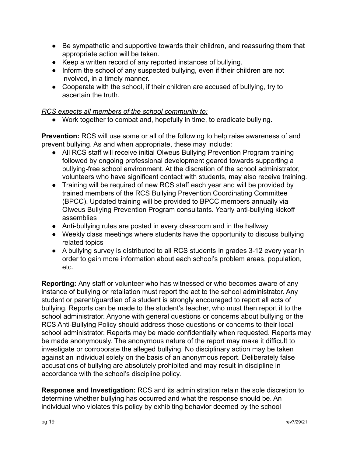- Be sympathetic and supportive towards their children, and reassuring them that appropriate action will be taken.
- Keep a written record of any reported instances of bullying.
- Inform the school of any suspected bullying, even if their children are not involved, in a timely manner.
- Cooperate with the school, if their children are accused of bullying, try to ascertain the truth.

*RCS expects all members of the school community to:*

● Work together to combat and, hopefully in time, to eradicate bullying.

**Prevention:** RCS will use some or all of the following to help raise awareness of and prevent bullying. As and when appropriate, these may include:

- All RCS staff will receive initial Olweus Bullying Prevention Program training followed by ongoing professional development geared towards supporting a bullying-free school environment. At the discretion of the school administrator, volunteers who have significant contact with students, may also receive training.
- Training will be required of new RCS staff each year and will be provided by trained members of the RCS Bullying Prevention Coordinating Committee (BPCC). Updated training will be provided to BPCC members annually via Olweus Bullying Prevention Program consultants. Yearly anti-bullying kickoff assemblies
- Anti-bullying rules are posted in every classroom and in the hallway
- Weekly class meetings where students have the opportunity to discuss bullying related topics
- A bullying survey is distributed to all RCS students in grades 3-12 every year in order to gain more information about each school's problem areas, population, etc.

**Reporting:** Any staff or volunteer who has witnessed or who becomes aware of any instance of bullying or retaliation must report the act to the school administrator. Any student or parent/guardian of a student is strongly encouraged to report all acts of bullying. Reports can be made to the student's teacher, who must then report it to the school administrator. Anyone with general questions or concerns about bullying or the RCS Anti-Bullying Policy should address those questions or concerns to their local school administrator. Reports may be made confidentially when requested. Reports may be made anonymously. The anonymous nature of the report may make it difficult to investigate or corroborate the alleged bullying. No disciplinary action may be taken against an individual solely on the basis of an anonymous report. Deliberately false accusations of bullying are absolutely prohibited and may result in discipline in accordance with the school's discipline policy.

**Response and Investigation:** RCS and its administration retain the sole discretion to determine whether bullying has occurred and what the response should be. An individual who violates this policy by exhibiting behavior deemed by the school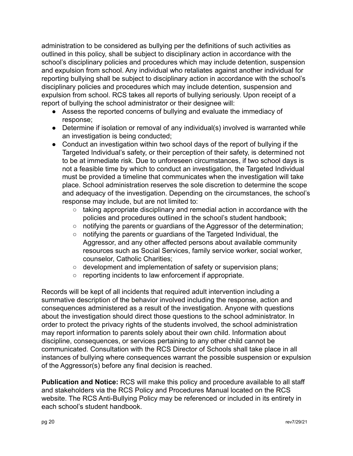administration to be considered as bullying per the definitions of such activities as outlined in this policy, shall be subject to disciplinary action in accordance with the school's disciplinary policies and procedures which may include detention, suspension and expulsion from school. Any individual who retaliates against another individual for reporting bullying shall be subject to disciplinary action in accordance with the school's disciplinary policies and procedures which may include detention, suspension and expulsion from school. RCS takes all reports of bullying seriously. Upon receipt of a report of bullying the school administrator or their designee will:

- Assess the reported concerns of bullying and evaluate the immediacy of response;
- Determine if isolation or removal of any individual(s) involved is warranted while an investigation is being conducted;
- Conduct an investigation within two school days of the report of bullying if the Targeted Individual's safety, or their perception of their safety, is determined not to be at immediate risk. Due to unforeseen circumstances, if two school days is not a feasible time by which to conduct an investigation, the Targeted Individual must be provided a timeline that communicates when the investigation will take place. School administration reserves the sole discretion to determine the scope and adequacy of the investigation. Depending on the circumstances, the school's response may include, but are not limited to:
	- taking appropriate disciplinary and remedial action in accordance with the policies and procedures outlined in the school's student handbook;
	- notifying the parents or guardians of the Aggressor of the determination;
	- notifying the parents or guardians of the Targeted Individual, the Aggressor, and any other affected persons about available community resources such as Social Services, family service worker, social worker, counselor, Catholic Charities;
	- development and implementation of safety or supervision plans;
	- reporting incidents to law enforcement if appropriate.

Records will be kept of all incidents that required adult intervention including a summative description of the behavior involved including the response, action and consequences administered as a result of the investigation. Anyone with questions about the investigation should direct those questions to the school administrator. In order to protect the privacy rights of the students involved, the school administration may report information to parents solely about their own child. Information about discipline, consequences, or services pertaining to any other child cannot be communicated. Consultation with the RCS Director of Schools shall take place in all instances of bullying where consequences warrant the possible suspension or expulsion of the Aggressor(s) before any final decision is reached.

**Publication and Notice:** RCS will make this policy and procedure available to all staff and stakeholders via the RCS Policy and Procedures Manual located on the RCS website. The RCS Anti-Bullying Policy may be referenced or included in its entirety in each school's student handbook.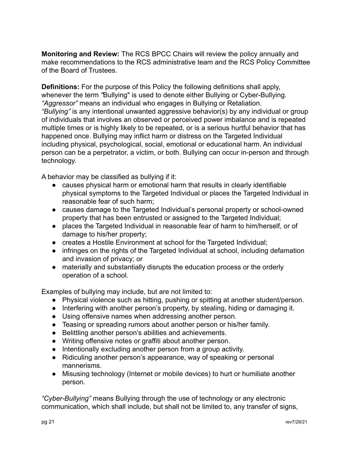**Monitoring and Review:** The RCS BPCC Chairs will review the policy annually and make recommendations to the RCS administrative team and the RCS Policy Committee of the Board of Trustees.

**Definitions:** For the purpose of this Policy the following definitions shall apply, whenever the term *"*Bullying" is used to denote either Bullying or Cyber-Bullying. *"Aggressor"* means an individual who engages in Bullying or Retaliation. *"Bullying"* is any intentional unwanted aggressive behavior(s) by any individual or group of individuals that involves an observed or perceived power imbalance and is repeated multiple times or is highly likely to be repeated, or is a serious hurtful behavior that has happened once. Bullying may inflict harm or distress on the Targeted Individual including physical, psychological, social, emotional or educational harm. An individual person can be a perpetrator, a victim, or both. Bullying can occur in-person and through technology.

A behavior may be classified as bullying if it:

- causes physical harm or emotional harm that results in clearly identifiable physical symptoms to the Targeted Individual or places the Targeted Individual in reasonable fear of such harm;
- causes damage to the Targeted Individual's personal property or school-owned property that has been entrusted or assigned to the Targeted Individual;
- places the Targeted Individual in reasonable fear of harm to him/herself, or of damage to his/her property;
- creates a Hostile Environment at school for the Targeted Individual;
- infringes on the rights of the Targeted Individual at school, including defamation and invasion of privacy; or
- materially and substantially disrupts the education process or the orderly operation of a school.

Examples of bullying may include, but are not limited to:

- Physical violence such as hitting, pushing or spitting at another student/person.
- Interfering with another person's property, by stealing, hiding or damaging it.
- Using offensive names when addressing another person.
- Teasing or spreading rumors about another person or his/her family.
- Belittling another person's abilities and achievements.
- Writing offensive notes or graffiti about another person.
- Intentionally excluding another person from a group activity.
- Ridiculing another person's appearance, way of speaking or personal mannerisms.
- Misusing technology (Internet or mobile devices) to hurt or humiliate another person.

*"Cyber-Bullying"* means Bullying through the use of technology or any electronic communication, which shall include, but shall not be limited to, any transfer of signs,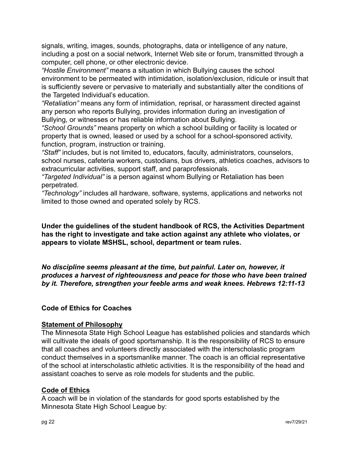signals, writing, images, sounds, photographs, data or intelligence of any nature, including a post on a social network, Internet Web site or forum, transmitted through a computer, cell phone, or other electronic device.

*"Hostile Environment"* means a situation in which Bullying causes the school environment to be permeated with intimidation, isolation/exclusion, ridicule or insult that is sufficiently severe or pervasive to materially and substantially alter the conditions of the Targeted Individual's education.

*"Retaliation"* means any form of intimidation, reprisal, or harassment directed against any person who reports Bullying, provides information during an investigation of Bullying, or witnesses or has reliable information about Bullying.

*"School Grounds"* means property on which a school building or facility is located or property that is owned, leased or used by a school for a school-sponsored activity, function, program, instruction or training.

*"Staff"* includes, but is not limited to, educators, faculty, administrators, counselors, school nurses, cafeteria workers, custodians, bus drivers, athletics coaches, advisors to extracurricular activities, support staff, and paraprofessionals.

*"Targeted Individual"* is a person against whom Bullying or Retaliation has been perpetrated.

*"Technology"* includes all hardware, software, systems, applications and networks not limited to those owned and operated solely by RCS.

**Under the guidelines of the student handbook of RCS, the Activities Department has the right to investigate and take action against any athlete who violates, or appears to violate MSHSL, school, department or team rules.**

*No discipline seems pleasant at the time, but painful. Later on, however, it produces a harvest of righteousness and peace for those who have been trained by it. Therefore, strengthen your feeble arms and weak knees. Hebrews 12:11-13*

## **Code of Ethics for Coaches**

#### **Statement of Philosophy**

The Minnesota State High School League has established policies and standards which will cultivate the ideals of good sportsmanship. It is the responsibility of RCS to ensure that all coaches and volunteers directly associated with the interscholastic program conduct themselves in a sportsmanlike manner. The coach is an official representative of the school at interscholastic athletic activities. It is the responsibility of the head and assistant coaches to serve as role models for students and the public.

#### **Code of Ethics**

A coach will be in violation of the standards for good sports established by the Minnesota State High School League by: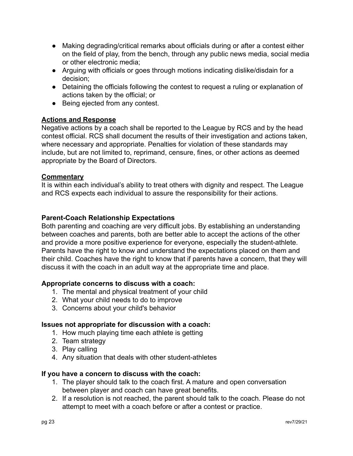- Making degrading/critical remarks about officials during or after a contest either on the field of play, from the bench, through any public news media, social media or other electronic media;
- Arguing with officials or goes through motions indicating dislike/disdain for a decision;
- Detaining the officials following the contest to request a ruling or explanation of actions taken by the official; or
- Being ejected from any contest.

## **Actions and Response**

Negative actions by a coach shall be reported to the League by RCS and by the head contest official. RCS shall document the results of their investigation and actions taken, where necessary and appropriate. Penalties for violation of these standards may include, but are not limited to, reprimand, censure, fines, or other actions as deemed appropriate by the Board of Directors.

## **Commentary**

It is within each individual's ability to treat others with dignity and respect. The League and RCS expects each individual to assure the responsibility for their actions.

## **Parent-Coach Relationship Expectations**

Both parenting and coaching are very difficult jobs. By establishing an understanding between coaches and parents, both are better able to accept the actions of the other and provide a more positive experience for everyone, especially the student-athlete. Parents have the right to know and understand the expectations placed on them and their child. Coaches have the right to know that if parents have a concern, that they will discuss it with the coach in an adult way at the appropriate time and place.

#### **Appropriate concerns to discuss with a coach:**

- 1. The mental and physical treatment of your child
- 2. What your child needs to do to improve
- 3. Concerns about your child's behavior

#### **Issues not appropriate for discussion with a coach:**

- 1. How much playing time each athlete is getting
- 2. Team strategy
- 3. Play calling
- 4. Any situation that deals with other student-athletes

#### **If you have a concern to discuss with the coach:**

- 1. The player should talk to the coach first. A mature and open conversation between player and coach can have great benefits.
- 2. If a resolution is not reached, the parent should talk to the coach. Please do not attempt to meet with a coach before or after a contest or practice.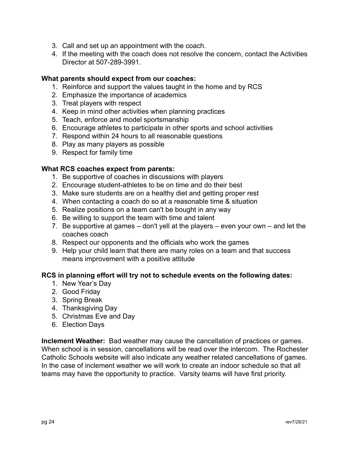- 3. Call and set up an appointment with the coach.
- 4. If the meeting with the coach does not resolve the concern, contact the Activities Director at 507-289-3991.

## **What parents should expect from our coaches:**

- 1. Reinforce and support the values taught in the home and by RCS
- 2. Emphasize the importance of academics
- 3. Treat players with respect
- 4. Keep in mind other activities when planning practices
- 5. Teach, enforce and model sportsmanship
- 6. Encourage athletes to participate in other sports and school activities
- 7. Respond within 24 hours to all reasonable questions
- 8. Play as many players as possible
- 9. Respect for family time

## **What RCS coaches expect from parents:**

- 1. Be supportive of coaches in discussions with players
- 2. Encourage student-athletes to be on time and do their best
- 3. Make sure students are on a healthy diet and getting proper rest
- 4. When contacting a coach do so at a reasonable time & situation
- 5. Realize positions on a team can't be bought in any way
- 6. Be willing to support the team with time and talent
- 7. Be supportive at games don't yell at the players even your own and let the coaches coach
- 8. Respect our opponents and the officials who work the games
- 9. Help your child learn that there are many roles on a team and that success means improvement with a positive attitude

#### **RCS in planning effort will try not to schedule events on the following dates:**

- 1. New Year's Day
- 2. Good Friday
- 3. Spring Break
- 4. Thanksgiving Day
- 5. Christmas Eve and Day
- 6. Election Days

**Inclement Weather:** Bad weather may cause the cancellation of practices or games. When school is in session, cancellations will be read over the intercom. The Rochester Catholic Schools website will also indicate any weather related cancellations of games. In the case of inclement weather we will work to create an indoor schedule so that all teams may have the opportunity to practice. Varsity teams will have first priority.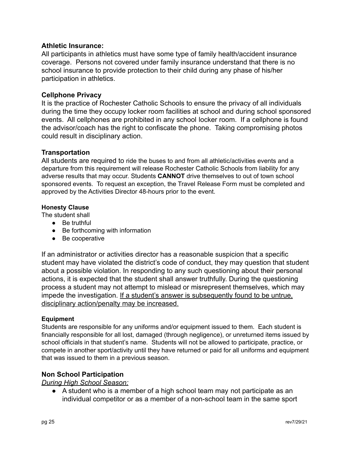#### **Athletic Insurance:**

All participants in athletics must have some type of family health/accident insurance coverage. Persons not covered under family insurance understand that there is no school insurance to provide protection to their child during any phase of his/her participation in athletics.

#### **Cellphone Privacy**

It is the practice of Rochester Catholic Schools to ensure the privacy of all individuals during the time they occupy locker room facilities at school and during school sponsored events. All cellphones are prohibited in any school locker room. If a cellphone is found the advisor/coach has the right to confiscate the phone. Taking compromising photos could result in disciplinary action.

#### **Transportation**

All students are required to ride the buses to and from all athletic/activities events and a departure from this requirement will release Rochester Catholic Schools from liability for any adverse results that may occur. Students **CANNOT** drive themselves to out of town school sponsored events. To request an exception, the Travel Release Form must be completed and approved by the Activities Director 48-hours prior to the event.

#### **Honesty Clause**

The student shall

- Be truthful
- Be forthcoming with information
- Be cooperative

If an administrator or activities director has a reasonable suspicion that a specific student may have violated the district's code of conduct, they may question that student about a possible violation. In responding to any such questioning about their personal actions, it is expected that the student shall answer truthfully. During the questioning process a student may not attempt to mislead or misrepresent themselves, which may impede the investigation. If a student's answer is subsequently found to be untrue, disciplinary action/penalty may be increased.

#### **Equipment**

Students are responsible for any uniforms and/or equipment issued to them. Each student is financially responsible for all lost, damaged (through negligence), or unreturned items issued by school officials in that student's name. Students will not be allowed to participate, practice, or compete in another sport/activity until they have returned or paid for all uniforms and equipment that was issued to them in a previous season.

#### **Non School Participation**

*During High School Season:*

• A student who is a member of a high school team may not participate as an individual competitor or as a member of a non-school team in the same sport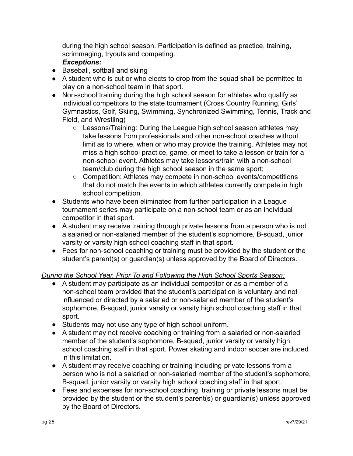during the high school season. Participation is defined as practice, training, scrimmaging, tryouts and competing.

#### *Exceptions:*

- Baseball, softball and skiing
- A student who is cut or who elects to drop from the squad shall be permitted to play on a non-school team in that sport.
- Non-school training during the high school season for athletes who qualify as individual competitors to the state tournament (Cross Country Running, Girls' Gymnastics, Golf, Skiing, Swimming, Synchronized Swimming, Tennis, Track and Field, and Wrestling)
	- Lessons/Training: During the League high school season athletes may take lessons from professionals and other non-school coaches without limit as to where, when or who may provide the training. Athletes may not miss a high school practice, game, or meet to take a lesson or train for a non-school event. Athletes may take lessons/train with a non-school team/club during the high school season in the same sport;
	- Competition: Athletes may compete in non-school events/competitions that do not match the events in which athletes currently compete in high school competition.
- Students who have been eliminated from further participation in a League tournament series may participate on a non-school team or as an individual competitor in that sport.
- A student may receive training through private lessons from a person who is not a salaried or non-salaried member of the student's sophomore, B-squad, junior varsity or varsity high school coaching staff in that sport.
- Fees for non-school coaching or training must be provided by the student or the student's parent(s) or guardian(s) unless approved by the Board of Directors.

#### *During the School Year, Prior To and Following the High School Sports Season:*

- A student may participate as an individual competitor or as a member of a non-school team provided that the student's participation is voluntary and not influenced or directed by a salaried or non-salaried member of the student's sophomore, B-squad, junior varsity or varsity high school coaching staff in that sport.
- Students may not use any type of high school uniform.
- A student may not receive coaching or training from a salaried or non-salaried member of the student's sophomore, B-squad, junior varsity or varsity high school coaching staff in that sport. Power skating and indoor soccer are included in this limitation.
- A student may receive coaching or training including private lessons from a person who is not a salaried or non-salaried member of the student's sophomore, B-squad, junior varsity or varsity high school coaching staff in that sport.
- Fees and expenses for non-school coaching, training or private lessons must be provided by the student or the student's parent(s) or guardian(s) unless approved by the Board of Directors.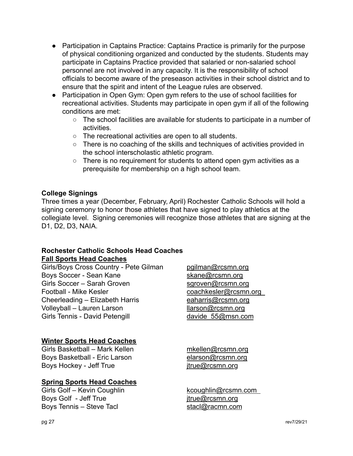- Participation in Captains Practice: Captains Practice is primarily for the purpose of physical conditioning organized and conducted by the students. Students may participate in Captains Practice provided that salaried or non-salaried school personnel are not involved in any capacity. It is the responsibility of school officials to become aware of the preseason activities in their school district and to ensure that the spirit and intent of the League rules are observed.
- Participation in Open Gym: Open gym refers to the use of school facilities for recreational activities. Students may participate in open gym if all of the following conditions are met:
	- The school facilities are available for students to participate in a number of activities.
	- The recreational activities are open to all students.
	- There is no coaching of the skills and techniques of activities provided in the school interscholastic athletic program.
	- There is no requirement for students to attend open gym activities as a prerequisite for membership on a high school team.

#### **College Signings**

Three times a year (December, February, April) Rochester Catholic Schools will hold a signing ceremony to honor those athletes that have signed to play athletics at the collegiate level. Signing ceremonies will recognize those athletes that are signing at the D1, D2, D3, NAIA.

#### **Rochester Catholic Schools Head Coaches Fall Sports Head Coaches**

Girls/Boys Cross Country - Pete Gilman [pgilman@rcsmn.org](mailto:pgilman@rcsmn.org) Boys Soccer - Sean Kane Girls Soccer – Sarah Groven [sgroven@rcsmn.org](mailto:sgroven@rcsmn.org) Football - Mike Kesler [coachkesler@rcsmn.org](mailto:coachkesler@rcsmn.org) Cheerleading – Elizabeth Harris [eaharris@rcsmn.org](mailto:eharris@rcsmn.org) Volleyball – Lauren Larson llarson [llarson@rcsmn.org](mailto:llarson@rcsmn.org) Girls Tennis - David Petengill davide 55@msn.com

## **Winter Sports Head Coaches**

Girls Basketball – Mark Kellen music mission [mkellen@rcsmn.org](mailto:mkellen@rcsmn.org) Boys Basketball - Eric Larson [elarson@rcsmn.org](mailto:elarson@rcsmn.org) Boys Hockey - Jeff True interest in the itrue@rcsmn.org

## **Spring Sports Head Coaches**

Girls Golf – Kevin Coughlin [kcoughlin@rcsmn.com](mailto:kcoughlin@rcsmn.org) Boys Golf - Jeff True in the state of the itrue@rcsmn.org Boys Tennis – Steve Tacl stack stack@racmn.com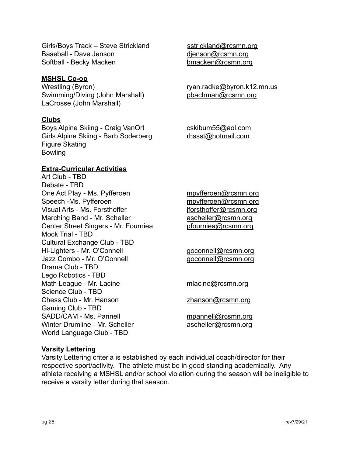Girls/Boys Track – Steve Strickland [sstrickland@rcsmn.org](mailto:sstrickland@rcsmn.org) Baseball - Dave Jenson dienson@rcsmn.org Softball - Becky Macken [bmacken@rcsmn.org](mailto:bmacken@rcsmn.org)

#### **MSHSL Co-op**

Wrestling (Byron) metallic example and the results of the results of the results of the results of the value of the results of the value of the value of the value of the value of the value of the value of the value of the Swimming/Diving (John Marshall) [pbachman@rcsmn.org](mailto:pbachman@rcsmn.org) LaCrosse (John Marshall)

#### **Clubs**

Boys Alpine Skiing - Craig VanOrt [cskibum55@aol.com](mailto:cskibum55@aol.com) Girls Alpine Skiing - Barb Soderberg [rhssst@hotmail.com](mailto:rhssst@hotmail.com) Figure Skating Bowling

#### **Extra-Curricular Activities**

Art Club - TBD Debate - TBD One Act Play - Ms. Pyfferoen must [mpyfferoen@rcsmn.org](mailto:mpyfferoen@rcsmn.org) Speech -Ms. Pyfferoen metal [mpyfferoen@rcsmn.org](mailto:mpyfferoen@rcsmn.org) Visual Arts - Ms. Forsthoffer in the state of iforsthoffer@rcsmn.org Marching Band - Mr. Scheller [ascheller@rcsmn.org](mailto:ascheller@rcsmn.org) Center Street Singers - Mr. Fourniea **productional production** [pfourniea@rcsmn.org](mailto:pfourniea@rcsmn.org) Mock Trial - TBD Cultural Exchange Club - TBD Hi-Lighters - Mr. O'Connell example and the deconnell gord and the Hi-Lighters - Mr. O'Connell Jazz Combo - Mr. O'Connell [goconnell@rcsmn.org](mailto:goconnell@rcsmn.org) Drama Club - TBD Lego Robotics - TBD Math League - Mr. Lacine metal mathematic metal mathematic metal metal metal metal metal metal metal metal met Science Club - TBD Chess Club - Mr. Hanson **zhanson zhanson zhanson zhanson zhanson zhanson zhanson zhanson zhanson zhanson zhanson zhanson zhanson zhanson zhanson zhanson zhanson zhanson zhanson zhanson** Gaming Club - TBD SADD/CAM - Ms. Pannell metal [mpannell@rcsmn.org](mailto:mpannell@rcsmn.org) Winter Drumline - Mr. Scheller [ascheller@rcsmn.org](mailto:ascheller@rcsmn.org) World Language Club - TBD

#### **Varsity Lettering**

Varsity Lettering criteria is established by each individual coach/director for their respective sport/activity. The athlete must be in good standing academically. Any athlete receiving a MSHSL and/or school violation during the season will be ineligible to receive a varsity letter during that season.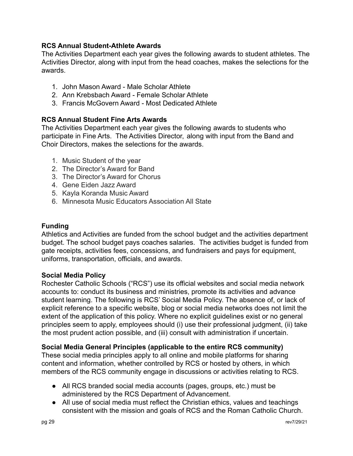## **RCS Annual Student-Athlete Awards**

The Activities Department each year gives the following awards to student athletes. The Activities Director, along with input from the head coaches, makes the selections for the awards.

- 1. John Mason Award Male Scholar Athlete
- 2. Ann Krebsbach Award Female Scholar Athlete
- 3. Francis McGovern Award Most Dedicated Athlete

## **RCS Annual Student Fine Arts Awards**

The Activities Department each year gives the following awards to students who participate in Fine Arts. The Activities Director, along with input from the Band and Choir Directors, makes the selections for the awards.

- 1. Music Student of the year
- 2. The Director's Award for Band
- 3. The Director's Award for Chorus
- 4. Gene Eiden Jazz Award
- 5. Kayla Koranda Music Award
- 6. Minnesota Music Educators Association All State

#### **Funding**

Athletics and Activities are funded from the school budget and the activities department budget. The school budget pays coaches salaries. The activities budget is funded from gate receipts, activities fees, concessions, and fundraisers and pays for equipment, uniforms, transportation, officials, and awards.

#### **Social Media Policy**

Rochester Catholic Schools ("RCS") use its official websites and social media network accounts to: conduct its business and ministries, promote its activities and advance student learning. The following is RCS' Social Media Policy. The absence of, or lack of explicit reference to a specific website, blog or social media networks does not limit the extent of the application of this policy. Where no explicit guidelines exist or no general principles seem to apply, employees should (i) use their professional judgment, (ii) take the most prudent action possible, and (iii) consult with administration if uncertain.

## **Social Media General Principles (applicable to the entire RCS community)**

These social media principles apply to all online and mobile platforms for sharing content and information, whether controlled by RCS or hosted by others, in which members of the RCS community engage in discussions or activities relating to RCS.

- All RCS branded social media accounts (pages, groups, etc.) must be administered by the RCS Department of Advancement.
- All use of social media must reflect the Christian ethics, values and teachings consistent with the mission and goals of RCS and the Roman Catholic Church.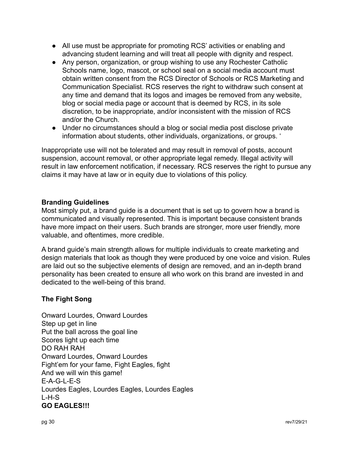- All use must be appropriate for promoting RCS' activities or enabling and advancing student learning and will treat all people with dignity and respect.
- Any person, organization, or group wishing to use any Rochester Catholic Schools name, logo, mascot, or school seal on a social media account must obtain written consent from the RCS Director of Schools or RCS Marketing and Communication Specialist. RCS reserves the right to withdraw such consent at any time and demand that its logos and images be removed from any website, blog or social media page or account that is deemed by RCS, in its sole discretion, to be inappropriate, and/or inconsistent with the mission of RCS and/or the Church.
- Under no circumstances should a blog or social media post disclose private information about students, other individuals, organizations, or groups. '

Inappropriate use will not be tolerated and may result in removal of posts, account suspension, account removal, or other appropriate legal remedy. Illegal activity will result in law enforcement notification, if necessary. RCS reserves the right to pursue any claims it may have at law or in equity due to violations of this policy.

## **Branding Guidelines**

Most simply put, a brand guide is a document that is set up to govern how a brand is communicated and visually represented. This is important because consistent brands have more impact on their users. Such brands are stronger, more user friendly, more valuable, and oftentimes, more credible.

A brand guide's main strength allows for multiple individuals to create marketing and design materials that look as though they were produced by one voice and vision. Rules are laid out so the subjective elements of design are removed, and an in-depth brand personality has been created to ensure all who work on this brand are invested in and dedicated to the well-being of this brand.

## **The Fight Song**

Onward Lourdes, Onward Lourdes Step up get in line Put the ball across the goal line Scores light up each time DO RAH RAH Onward Lourdes, Onward Lourdes Fight'em for your fame, Fight Eagles, fight And we will win this game! E-A-G-L-E-S Lourdes Eagles, Lourdes Eagles, Lourdes Eagles  $L-H-S$ **GO EAGLES!!!**